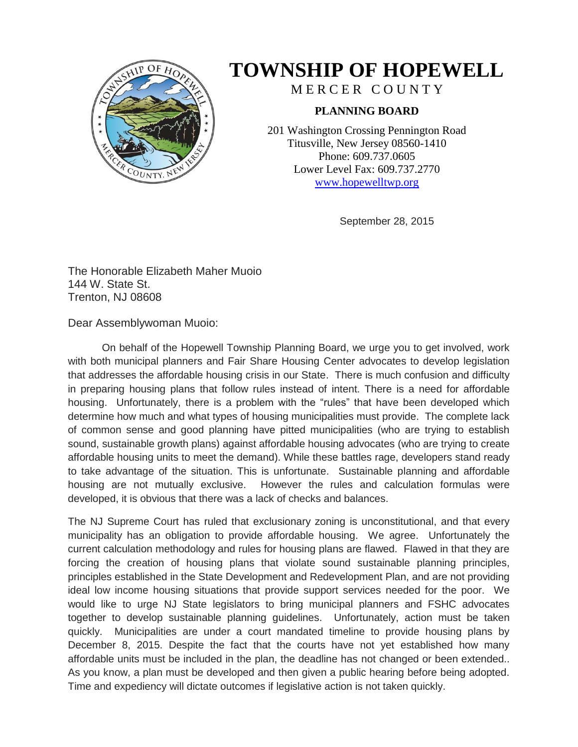

## **TOWNSHIP OF HOPEWELL**

MERCER COUNTY

## **PLANNING BOARD**

201 Washington Crossing Pennington Road Titusville, New Jersey 08560-1410 Phone: 609.737.0605 Lower Level Fax: 609.737.2770 [www.hopewelltwp.org](http://www.hopewelltwp.org/)

September 28, 2015

The Honorable Elizabeth Maher Muoio 144 W. State St. Trenton, NJ 08608

Dear Assemblywoman Muoio:

On behalf of the Hopewell Township Planning Board, we urge you to get involved, work with both municipal planners and Fair Share Housing Center advocates to develop legislation that addresses the affordable housing crisis in our State. There is much confusion and difficulty in preparing housing plans that follow rules instead of intent. There is a need for affordable housing. Unfortunately, there is a problem with the "rules" that have been developed which determine how much and what types of housing municipalities must provide. The complete lack of common sense and good planning have pitted municipalities (who are trying to establish sound, sustainable growth plans) against affordable housing advocates (who are trying to create affordable housing units to meet the demand). While these battles rage, developers stand ready to take advantage of the situation. This is unfortunate. Sustainable planning and affordable housing are not mutually exclusive. However the rules and calculation formulas were developed, it is obvious that there was a lack of checks and balances.

The NJ Supreme Court has ruled that exclusionary zoning is unconstitutional, and that every municipality has an obligation to provide affordable housing. We agree. Unfortunately the current calculation methodology and rules for housing plans are flawed. Flawed in that they are forcing the creation of housing plans that violate sound sustainable planning principles, principles established in the State Development and Redevelopment Plan, and are not providing ideal low income housing situations that provide support services needed for the poor. We would like to urge NJ State legislators to bring municipal planners and FSHC advocates together to develop sustainable planning guidelines. Unfortunately, action must be taken quickly. Municipalities are under a court mandated timeline to provide housing plans by December 8, 2015. Despite the fact that the courts have not yet established how many affordable units must be included in the plan, the deadline has not changed or been extended.. As you know, a plan must be developed and then given a public hearing before being adopted. Time and expediency will dictate outcomes if legislative action is not taken quickly.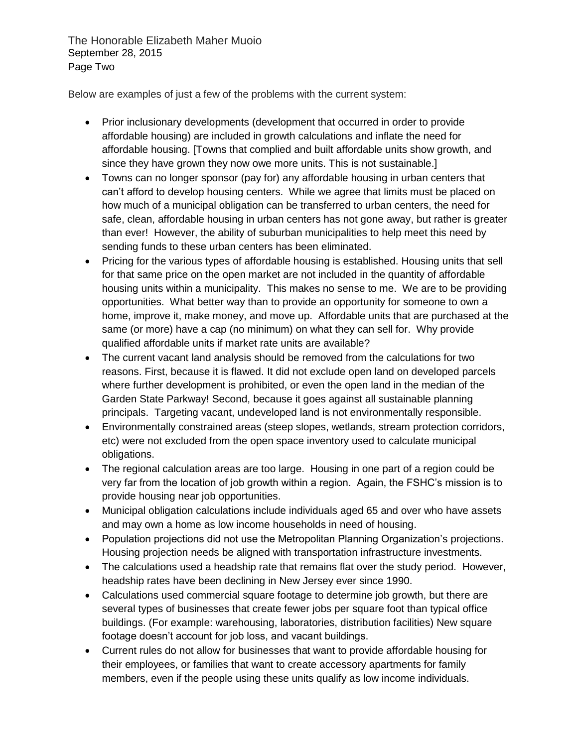The Honorable Elizabeth Maher Muoio September 28, 2015 Page Two

Below are examples of just a few of the problems with the current system:

- Prior inclusionary developments (development that occurred in order to provide affordable housing) are included in growth calculations and inflate the need for affordable housing. [Towns that complied and built affordable units show growth, and since they have grown they now owe more units. This is not sustainable.]
- Towns can no longer sponsor (pay for) any affordable housing in urban centers that can't afford to develop housing centers. While we agree that limits must be placed on how much of a municipal obligation can be transferred to urban centers, the need for safe, clean, affordable housing in urban centers has not gone away, but rather is greater than ever! However, the ability of suburban municipalities to help meet this need by sending funds to these urban centers has been eliminated.
- Pricing for the various types of affordable housing is established. Housing units that sell for that same price on the open market are not included in the quantity of affordable housing units within a municipality. This makes no sense to me. We are to be providing opportunities. What better way than to provide an opportunity for someone to own a home, improve it, make money, and move up. Affordable units that are purchased at the same (or more) have a cap (no minimum) on what they can sell for. Why provide qualified affordable units if market rate units are available?
- The current vacant land analysis should be removed from the calculations for two reasons. First, because it is flawed. It did not exclude open land on developed parcels where further development is prohibited, or even the open land in the median of the Garden State Parkway! Second, because it goes against all sustainable planning principals. Targeting vacant, undeveloped land is not environmentally responsible.
- Environmentally constrained areas (steep slopes, wetlands, stream protection corridors, etc) were not excluded from the open space inventory used to calculate municipal obligations.
- The regional calculation areas are too large. Housing in one part of a region could be very far from the location of job growth within a region. Again, the FSHC's mission is to provide housing near job opportunities.
- Municipal obligation calculations include individuals aged 65 and over who have assets and may own a home as low income households in need of housing.
- Population projections did not use the Metropolitan Planning Organization's projections. Housing projection needs be aligned with transportation infrastructure investments.
- The calculations used a headship rate that remains flat over the study period. However, headship rates have been declining in New Jersey ever since 1990.
- Calculations used commercial square footage to determine job growth, but there are several types of businesses that create fewer jobs per square foot than typical office buildings. (For example: warehousing, laboratories, distribution facilities) New square footage doesn't account for job loss, and vacant buildings.
- Current rules do not allow for businesses that want to provide affordable housing for their employees, or families that want to create accessory apartments for family members, even if the people using these units qualify as low income individuals.